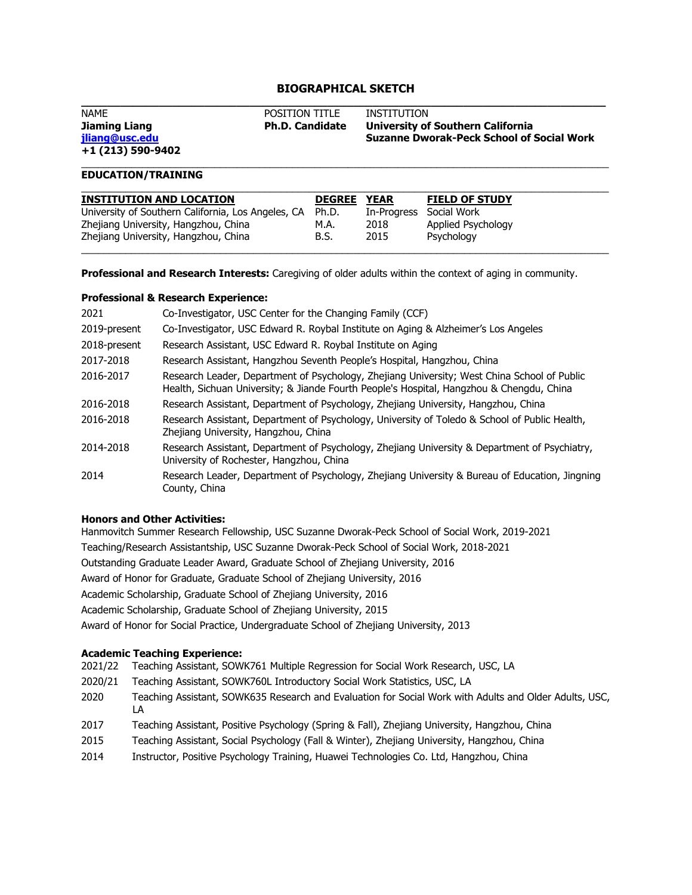# **BIOGRAPHICAL SKETCH**

| NAME              | <b>POSITION TITLE</b>  | INSTITUTION                                      |
|-------------------|------------------------|--------------------------------------------------|
| Jiaming Liang     | <b>Ph.D. Candidate</b> | University of Southern California                |
| iliang@usc.edu    |                        | <b>Suzanne Dworak-Peck School of Social Work</b> |
| +1 (213) 590-9402 |                        |                                                  |

\_\_\_\_\_\_\_\_\_\_\_\_\_\_\_\_\_\_\_\_\_\_\_\_\_\_\_\_\_\_\_\_\_\_\_\_\_\_\_\_\_\_\_\_\_\_\_\_\_\_\_\_\_\_\_\_\_\_\_\_\_\_\_\_\_\_\_\_\_\_\_\_\_\_\_\_\_\_\_\_\_\_\_\_\_\_\_\_\_\_\_\_\_\_\_

# **EDUCATION/TRAINING**

| <b>INSTITUTION AND LOCATION</b>                    | <b>DEGREE</b> | <b>YEAR</b> | <b>FIELD OF STUDY</b> |
|----------------------------------------------------|---------------|-------------|-----------------------|
| University of Southern California, Los Angeles, CA | Ph.D.         | In-Progress | Social Work           |
| Zhejiang University, Hangzhou, China               | M.A.          | 2018        | Applied Psychology    |
| Zhejiang University, Hangzhou, China               | B.S.          | 2015        | Psychology            |

**Professional and Research Interests:** Caregiving of older adults within the context of aging in community.

## **Professional & Research Experience:**

| 2021         | Co-Investigator, USC Center for the Changing Family (CCF)                                                                                                                               |
|--------------|-----------------------------------------------------------------------------------------------------------------------------------------------------------------------------------------|
| 2019-present | Co-Investigator, USC Edward R. Roybal Institute on Aging & Alzheimer's Los Angeles                                                                                                      |
| 2018-present | Research Assistant, USC Edward R. Roybal Institute on Aging                                                                                                                             |
| 2017-2018    | Research Assistant, Hangzhou Seventh People's Hospital, Hangzhou, China                                                                                                                 |
| 2016-2017    | Research Leader, Department of Psychology, Zhejiang University; West China School of Public<br>Health, Sichuan University; & Jiande Fourth People's Hospital, Hangzhou & Chengdu, China |
| 2016-2018    | Research Assistant, Department of Psychology, Zhejiang University, Hangzhou, China                                                                                                      |
| 2016-2018    | Research Assistant, Department of Psychology, University of Toledo & School of Public Health,<br>Zhejiang University, Hangzhou, China                                                   |
| 2014-2018    | Research Assistant, Department of Psychology, Zhejiang University & Department of Psychiatry,<br>University of Rochester, Hangzhou, China                                               |
| 2014         | Research Leader, Department of Psychology, Zhejiang University & Bureau of Education, Jingning<br>County, China                                                                         |

#### **Honors and Other Activities:**

Hanmovitch Summer Research Fellowship, USC Suzanne Dworak-Peck School of Social Work, 2019-2021 Teaching/Research Assistantship, USC Suzanne Dworak-Peck School of Social Work, 2018-2021 Outstanding Graduate Leader Award, Graduate School of Zhejiang University, 2016 Award of Honor for Graduate, Graduate School of Zhejiang University, 2016 Academic Scholarship, Graduate School of Zhejiang University, 2016 Academic Scholarship, Graduate School of Zhejiang University, 2015 Award of Honor for Social Practice, Undergraduate School of Zhejiang University, 2013

## **Academic Teaching Experience:**

- 2021/22 Teaching Assistant, SOWK761 Multiple Regression for Social Work Research, USC, LA
- 2020/21 Teaching Assistant, SOWK760L Introductory Social Work Statistics, USC, LA
- 2020 Teaching Assistant, SOWK635 Research and Evaluation for Social Work with Adults and Older Adults, USC, LA
- 2017 Teaching Assistant, Positive Psychology (Spring & Fall), Zhejiang University, Hangzhou, China
- 2015 Teaching Assistant, Social Psychology (Fall & Winter), Zhejiang University, Hangzhou, China
- 2014 Instructor, Positive Psychology Training, Huawei Technologies Co. Ltd, Hangzhou, China